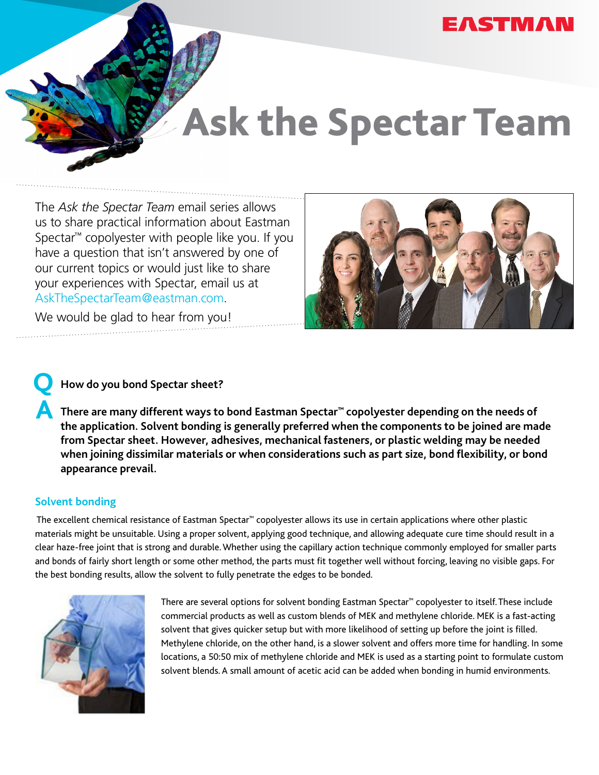# **EASTMAN**

# Ask the Spectar Team

The *Ask the Spectar Team* email series allows us to share practical information about Eastman Spectar™ copolyester with people like you. If you have a question that isn't answered by one of our current topics or would just like to share your experiences with Spectar, email us at [AskTheSpectarTeam@eastman.com.](http://AskTheSpectarTeam@eastman.com)



We would be glad to hear from you!

# **How do you bond Spectar sheet?**

**A** There are many different ways to bond Eastman Spectar™ copolyester depending on the needs of **the application. Solvent bonding is generally preferred when the components to be joined are made from Spectar sheet. However, adhesives, mechanical fasteners, or plastic welding may be needed when joining dissimilar materials or when considerations such as part size, bond flexibility, or bond appearance prevail.**

### **Solvent bonding**

**Q**

 The excellent chemical resistance of Eastman Spectar™ copolyester allows its use in certain applications where other plastic materials might be unsuitable. Using a proper solvent, applying good technique, and allowing adequate cure time should result in a clear haze-free joint that is strong and durable. Whether using the capillary action technique commonly employed for smaller parts and bonds of fairly short length or some other method, the parts must fit together well without forcing, leaving no visible gaps. For the best bonding results, allow the solvent to fully penetrate the edges to be bonded.



There are several options for solvent bonding Eastman Spectar™ copolyester to itself. These include commercial products as well as custom blends of MEK and methylene chloride. MEK is a fast-acting solvent that gives quicker setup but with more likelihood of setting up before the joint is filled. Methylene chloride, on the other hand, is a slower solvent and offers more time for handling. In some locations, a 50:50 mix of methylene chloride and MEK is used as a starting point to formulate custom solvent blends. A small amount of acetic acid can be added when bonding in humid environments.